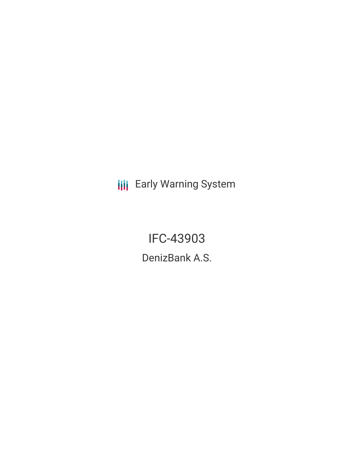**III** Early Warning System

IFC-43903 DenizBank A.S.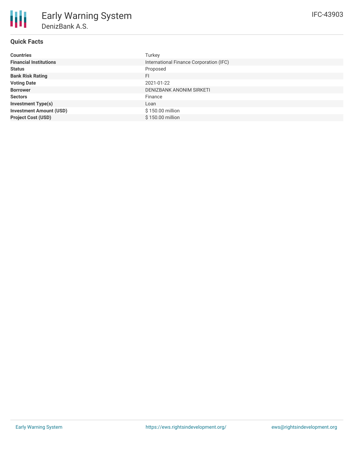# **Quick Facts**

| <b>Countries</b>               | Turkey                                  |
|--------------------------------|-----------------------------------------|
| <b>Financial Institutions</b>  | International Finance Corporation (IFC) |
| <b>Status</b>                  | Proposed                                |
| <b>Bank Risk Rating</b>        | FI                                      |
| <b>Voting Date</b>             | 2021-01-22                              |
| <b>Borrower</b>                | DENIZBANK ANONIM SIRKETI                |
| <b>Sectors</b>                 | Finance                                 |
| <b>Investment Type(s)</b>      | Loan                                    |
| <b>Investment Amount (USD)</b> | \$150.00 million                        |
| <b>Project Cost (USD)</b>      | \$150.00 million                        |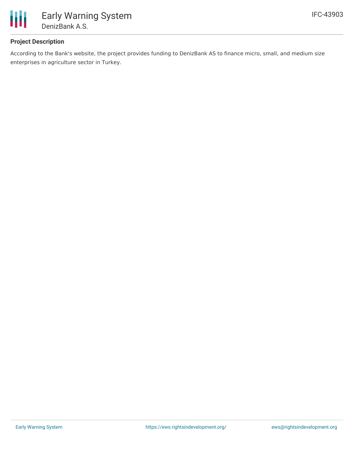

# **Project Description**

According to the Bank's website, the project provides funding to DenizBank AS to finance micro, small, and medium size enterprises in agriculture sector in Turkey.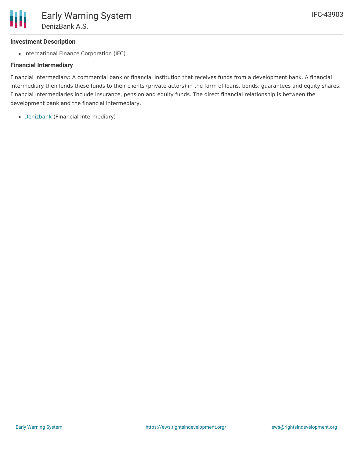# **Investment Description**

• International Finance Corporation (IFC)

### **Financial Intermediary**

Financial Intermediary: A commercial bank or financial institution that receives funds from a development bank. A financial intermediary then lends these funds to their clients (private actors) in the form of loans, bonds, guarantees and equity shares. Financial intermediaries include insurance, pension and equity funds. The direct financial relationship is between the development bank and the financial intermediary.

[Denizbank](file:///actor/2859/) (Financial Intermediary)